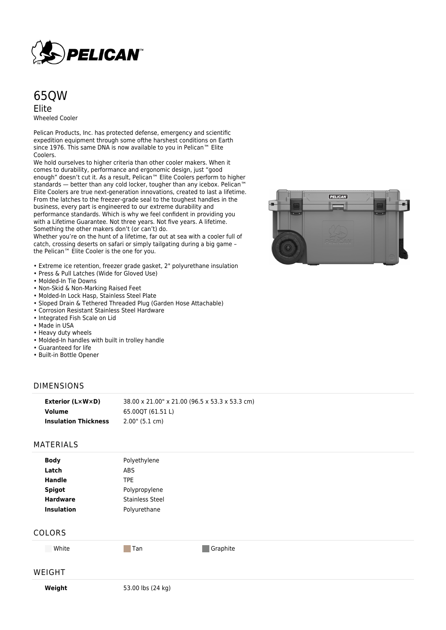

# 65QW Elite Wheeled Cooler

Pelican Products, Inc. has protected defense, emergency and scientific expedition equipment through some ofthe harshest conditions on Earth since 1976. This same DNA is now available to you in Pelican™ Elite Coolers.

We hold ourselves to higher criteria than other cooler makers. When it comes to durability, performance and ergonomic design, just "good enough" doesn't cut it. As a result, Pelican™ Elite Coolers perform to higher standards — better than any cold locker, tougher than any icebox. Pelican™ Elite Coolers are true next-generation innovations, created to last a lifetime. From the latches to the freezer-grade seal to the toughest handles in the business, every part is engineered to our extreme durability and performance standards. Which is why we feel confident in providing you with a Lifetime Guarantee. Not three years. Not five years. A lifetime. Something the other makers don't (or can't) do.

Whether you're on the hunt of a lifetime, far out at sea with a cooler full of catch, crossing deserts on safari or simply tailgating during a big game – the Pelican™ Elite Cooler is the one for you.

- Extreme ice retention, freezer grade gasket, 2" polyurethane insulation
- Press & Pull Latches (Wide for Gloved Use)
- Molded-In Tie Downs
- Non-Skid & Non-Marking Raised Feet
- Molded-In Lock Hasp, Stainless Steel Plate
- Sloped Drain & Tethered Threaded Plug (Garden Hose Attachable)
- Corrosion Resistant Stainless Steel Hardware
- Integrated Fish Scale on Lid
- Made in USA
- Heavy duty wheels
- Molded-In handles with built in trolley handle
- Guaranteed for life
- Built-in Bottle Opener

### DIMENSIONS

| Exterior (L×W×D)            | 38.00 x 21.00" x 21.00 (96.5 x 53.3 x 53.3 cm) |
|-----------------------------|------------------------------------------------|
| Volume                      | 65.000T (61.51 L)                              |
| <b>Insulation Thickness</b> | $2.00$ " (5.1 cm)                              |

#### MATERIALS

| <b>Body</b>       | Polyethylene           |
|-------------------|------------------------|
| Latch             | <b>ABS</b>             |
| <b>Handle</b>     | TPE                    |
| <b>Spigot</b>     | Polypropylene          |
| <b>Hardware</b>   | <b>Stainless Steel</b> |
| <b>Insulation</b> | Polyurethane           |
|                   |                        |

### COLORS

White **Tan** Tan Graphite

## WEIGHT